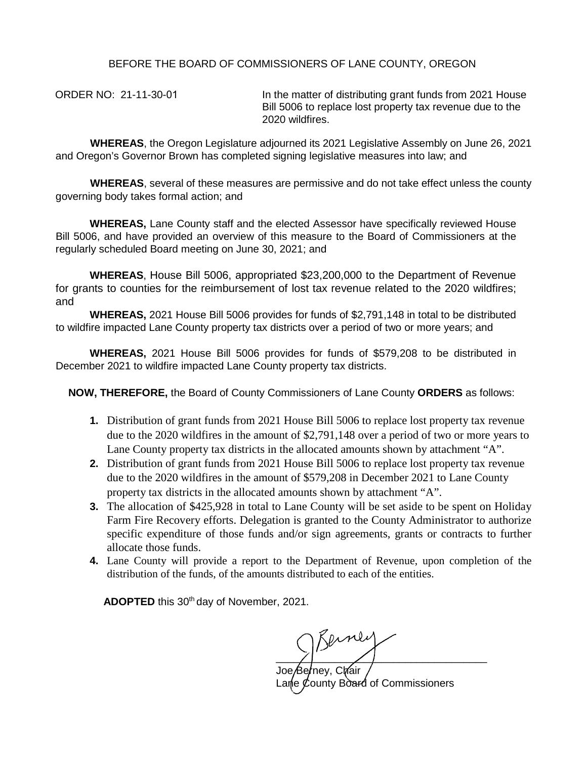## BEFORE THE BOARD OF COMMISSIONERS OF LANE COUNTY, OREGON

ORDER NO: 21-11-30-01 In the matter of distributing grant funds from 2021 House Bill 5006 to replace lost property tax revenue due to the 2020 wildfires.

**WHEREAS**, the Oregon Legislature adjourned its 2021 Legislative Assembly on June 26, 2021 and Oregon's Governor Brown has completed signing legislative measures into law; and

**WHEREAS**, several of these measures are permissive and do not take effect unless the county governing body takes formal action; and

**WHEREAS,** Lane County staff and the elected Assessor have specifically reviewed House Bill 5006, and have provided an overview of this measure to the Board of Commissioners at the regularly scheduled Board meeting on June 30, 2021; and

**WHEREAS**, House Bill 5006, appropriated \$23,200,000 to the Department of Revenue for grants to counties for the reimbursement of lost tax revenue related to the 2020 wildfires; and

**WHEREAS,** 2021 House Bill 5006 provides for funds of \$2,791,148 in total to be distributed to wildfire impacted Lane County property tax districts over a period of two or more years; and

**WHEREAS,** 2021 House Bill 5006 provides for funds of \$579,208 to be distributed in December 2021 to wildfire impacted Lane County property tax districts.

**NOW, THEREFORE,** the Board of County Commissioners of Lane County **ORDERS** as follows:

- **1.** Distribution of grant funds from 2021 House Bill 5006 to replace lost property tax revenue due to the 2020 wildfires in the amount of \$2,791,148 over a period of two or more years to Lane County property tax districts in the allocated amounts shown by attachment "A".
- **2.** Distribution of grant funds from 2021 House Bill 5006 to replace lost property tax revenue due to the 2020 wildfires in the amount of \$579,208 in December 2021 to Lane County property tax districts in the allocated amounts shown by attachment "A".
- **3.** The allocation of \$425,928 in total to Lane County will be set aside to be spent on Holiday Farm Fire Recovery efforts. Delegation is granted to the County Administrator to authorize specific expenditure of those funds and/or sign agreements, grants or contracts to further allocate those funds.
- **4.** Lane County will provide a report to the Department of Revenue, upon completion of the distribution of the funds, of the amounts distributed to each of the entities.

ADOPTED this 30<sup>th</sup> day of November, 2021.

 $\overline{\phantom{a}}$ 

Joe*/*Be*r*ney, Ch⁄air Lane County Board of Commissioners